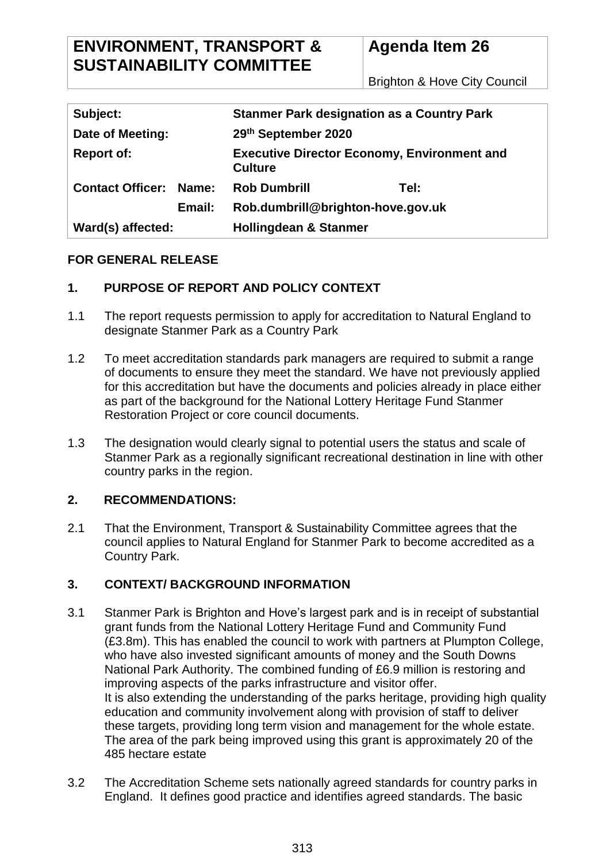Brighton & Hove City Council

| Subject:                |       | <b>Stanmer Park designation as a Country Park</b>                    |      |  |
|-------------------------|-------|----------------------------------------------------------------------|------|--|
| Date of Meeting:        |       | 29th September 2020                                                  |      |  |
| <b>Report of:</b>       |       | <b>Executive Director Economy, Environment and</b><br><b>Culture</b> |      |  |
| <b>Contact Officer:</b> | Name: | <b>Rob Dumbrill</b>                                                  | Tel: |  |
| Email:                  |       | Rob.dumbrill@brighton-hove.gov.uk                                    |      |  |
| Ward(s) affected:       |       | <b>Hollingdean &amp; Stanmer</b>                                     |      |  |

# **FOR GENERAL RELEASE**

# **1. PURPOSE OF REPORT AND POLICY CONTEXT**

- 1.1 The report requests permission to apply for accreditation to Natural England to designate Stanmer Park as a Country Park
- 1.2 To meet accreditation standards park managers are required to submit a range of documents to ensure they meet the standard. We have not previously applied for this accreditation but have the documents and policies already in place either as part of the background for the National Lottery Heritage Fund Stanmer Restoration Project or core council documents.
- 1.3 The designation would clearly signal to potential users the status and scale of Stanmer Park as a regionally significant recreational destination in line with other country parks in the region.

## **2. RECOMMENDATIONS:**

2.1 That the Environment, Transport & Sustainability Committee agrees that the council applies to Natural England for Stanmer Park to become accredited as a Country Park.

# **3. CONTEXT/ BACKGROUND INFORMATION**

- 3.1 Stanmer Park is Brighton and Hove's largest park and is in receipt of substantial grant funds from the National Lottery Heritage Fund and Community Fund (£3.8m). This has enabled the council to work with partners at Plumpton College, who have also invested significant amounts of money and the South Downs National Park Authority. The combined funding of £6.9 million is restoring and improving aspects of the parks infrastructure and visitor offer. It is also extending the understanding of the parks heritage, providing high quality education and community involvement along with provision of staff to deliver these targets, providing long term vision and management for the whole estate. The area of the park being improved using this grant is approximately 20 of the 485 hectare estate
- 3.2 The Accreditation Scheme sets nationally agreed standards for country parks in England. It defines good practice and identifies agreed standards. The basic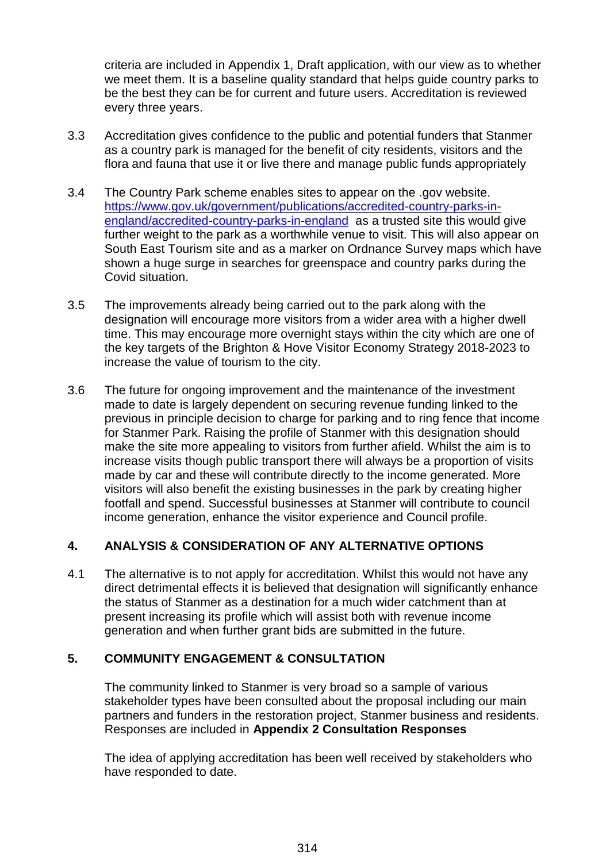criteria are included in Appendix 1, Draft application, with our view as to whether we meet them. It is a baseline quality standard that helps guide country parks to be the best they can be for current and future users. Accreditation is reviewed every three years.

- 3.3 Accreditation gives confidence to the public and potential funders that Stanmer as a country park is managed for the benefit of city residents, visitors and the flora and fauna that use it or live there and manage public funds appropriately
- 3.4 The Country Park scheme enables sites to appear on the .gov website. [https://www.gov.uk/government/publications/accredited-country-parks-in](https://www.gov.uk/government/publications/accredited-country-parks-in-england/accredited-country-parks-in-england)[england/accredited-country-parks-in-england](https://www.gov.uk/government/publications/accredited-country-parks-in-england/accredited-country-parks-in-england) as a trusted site this would give further weight to the park as a worthwhile venue to visit. This will also appear on South East Tourism site and as a marker on Ordnance Survey maps which have shown a huge surge in searches for greenspace and country parks during the Covid situation.
- 3.5 The improvements already being carried out to the park along with the designation will encourage more visitors from a wider area with a higher dwell time. This may encourage more overnight stays within the city which are one of the key targets of the Brighton & Hove Visitor Economy Strategy 2018-2023 to increase the value of tourism to the city.
- 3.6 The future for ongoing improvement and the maintenance of the investment made to date is largely dependent on securing revenue funding linked to the previous in principle decision to charge for parking and to ring fence that income for Stanmer Park. Raising the profile of Stanmer with this designation should make the site more appealing to visitors from further afield. Whilst the aim is to increase visits though public transport there will always be a proportion of visits made by car and these will contribute directly to the income generated. More visitors will also benefit the existing businesses in the park by creating higher footfall and spend. Successful businesses at Stanmer will contribute to council income generation, enhance the visitor experience and Council profile.

## **4. ANALYSIS & CONSIDERATION OF ANY ALTERNATIVE OPTIONS**

4.1 The alternative is to not apply for accreditation. Whilst this would not have any direct detrimental effects it is believed that designation will significantly enhance the status of Stanmer as a destination for a much wider catchment than at present increasing its profile which will assist both with revenue income generation and when further grant bids are submitted in the future.

## **5. COMMUNITY ENGAGEMENT & CONSULTATION**

The community linked to Stanmer is very broad so a sample of various stakeholder types have been consulted about the proposal including our main partners and funders in the restoration project, Stanmer business and residents. Responses are included in **Appendix 2 Consultation Responses**

The idea of applying accreditation has been well received by stakeholders who have responded to date.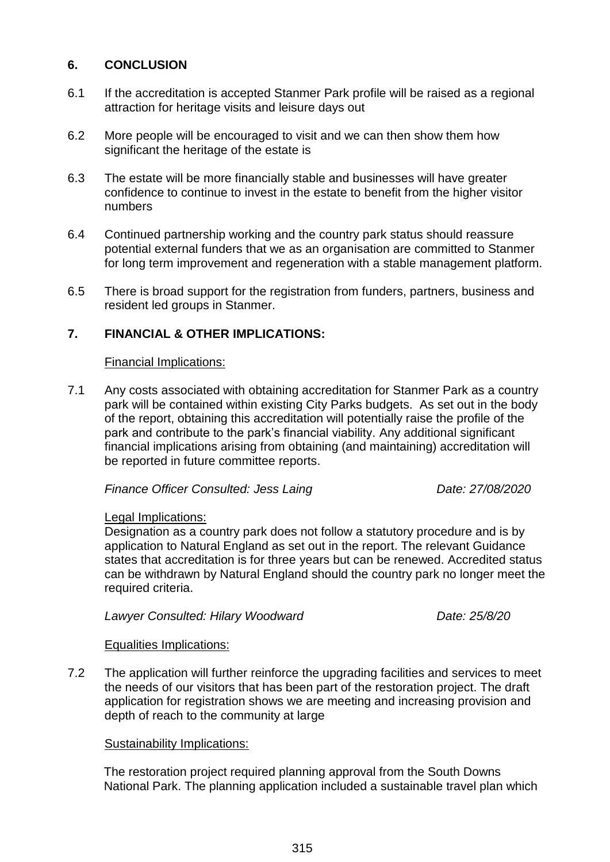## **6. CONCLUSION**

- 6.1 If the accreditation is accepted Stanmer Park profile will be raised as a regional attraction for heritage visits and leisure days out
- 6.2 More people will be encouraged to visit and we can then show them how significant the heritage of the estate is
- 6.3 The estate will be more financially stable and businesses will have greater confidence to continue to invest in the estate to benefit from the higher visitor numbers
- 6.4 Continued partnership working and the country park status should reassure potential external funders that we as an organisation are committed to Stanmer for long term improvement and regeneration with a stable management platform.
- 6.5 There is broad support for the registration from funders, partners, business and resident led groups in Stanmer.

# **7. FINANCIAL & OTHER IMPLICATIONS:**

#### Financial Implications:

7.1 Any costs associated with obtaining accreditation for Stanmer Park as a country park will be contained within existing City Parks budgets. As set out in the body of the report, obtaining this accreditation will potentially raise the profile of the park and contribute to the park's financial viability. Any additional significant financial implications arising from obtaining (and maintaining) accreditation will be reported in future committee reports.

*Finance Officer Consulted: Jess Laing Date: 27/08/2020* 

#### Legal Implications:

Designation as a country park does not follow a statutory procedure and is by application to Natural England as set out in the report. The relevant Guidance states that accreditation is for three years but can be renewed. Accredited status can be withdrawn by Natural England should the country park no longer meet the required criteria.

*Lawyer Consulted: Hilary Woodward Date: 25/8/20*

#### Equalities Implications:

7.2 The application will further reinforce the upgrading facilities and services to meet the needs of our visitors that has been part of the restoration project. The draft application for registration shows we are meeting and increasing provision and depth of reach to the community at large

## Sustainability Implications:

The restoration project required planning approval from the South Downs National Park. The planning application included a sustainable travel plan which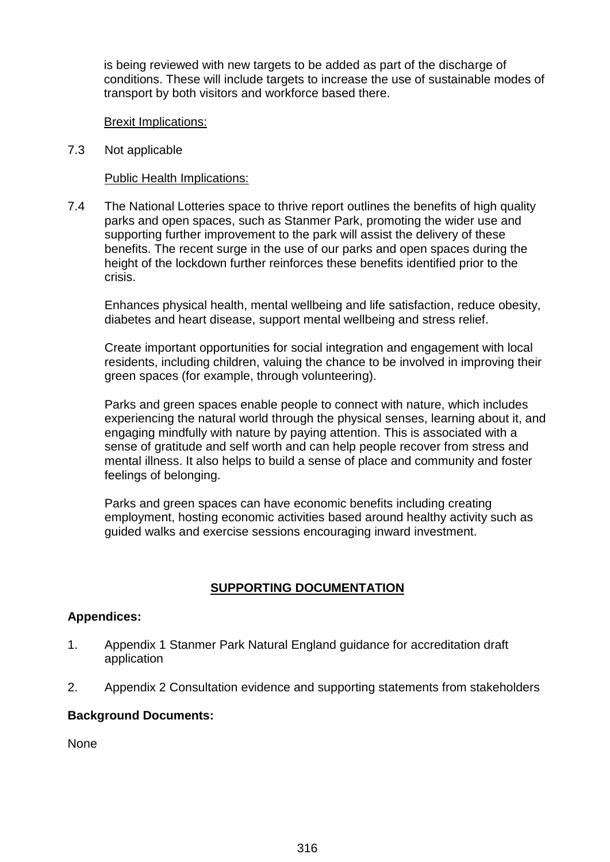is being reviewed with new targets to be added as part of the discharge of conditions. These will include targets to increase the use of sustainable modes of transport by both visitors and workforce based there.

#### Brexit Implications:

7.3 Not applicable

#### Public Health Implications:

7.4 The National Lotteries space to thrive report outlines the benefits of high quality parks and open spaces, such as Stanmer Park, promoting the wider use and supporting further improvement to the park will assist the delivery of these benefits. The recent surge in the use of our parks and open spaces during the height of the lockdown further reinforces these benefits identified prior to the crisis.

Enhances physical health, mental wellbeing and life satisfaction, reduce obesity, diabetes and heart disease, support mental wellbeing and stress relief.

Create important opportunities for social integration and engagement with local residents, including children, valuing the chance to be involved in improving their green spaces (for example, through volunteering).

Parks and green spaces enable people to connect with nature, which includes experiencing the natural world through the physical senses, learning about it, and engaging mindfully with nature by paying attention. This is associated with a sense of gratitude and self worth and can help people recover from stress and mental illness. It also helps to build a sense of place and community and foster feelings of belonging.

Parks and green spaces can have economic benefits including creating employment, hosting economic activities based around healthy activity such as guided walks and exercise sessions encouraging inward investment.

## **SUPPORTING DOCUMENTATION**

#### **Appendices:**

- 1. Appendix 1 Stanmer Park Natural England guidance for accreditation draft application
- 2. Appendix 2 Consultation evidence and supporting statements from stakeholders

#### **Background Documents:**

None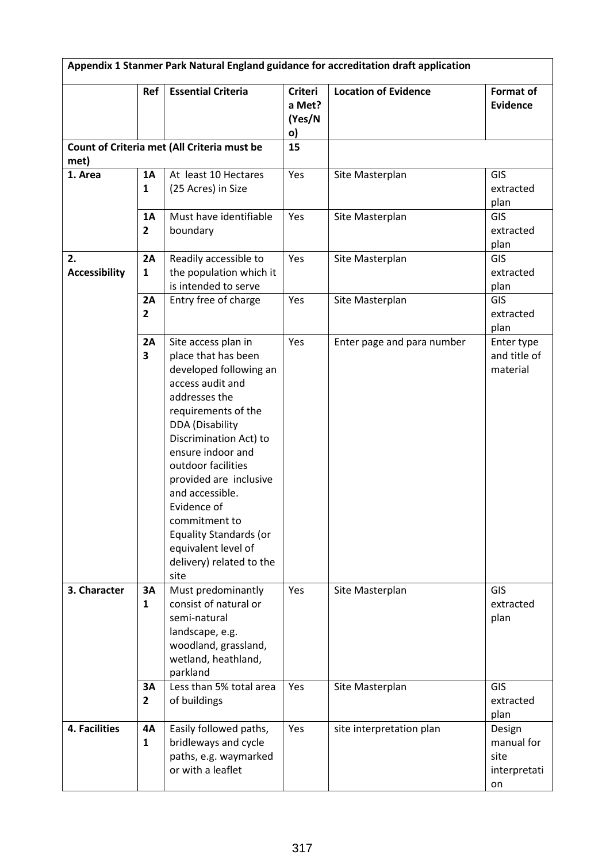|                                                     | <b>Ref</b>                    | <b>Essential Criteria</b>                                                                                                                                                                                                                                                                                                                                                                                | <b>Criteri</b><br>a Met?<br>(Yes/N<br>o) | <b>Location of Evidence</b> | <b>Format of</b><br><b>Evidence</b>                |
|-----------------------------------------------------|-------------------------------|----------------------------------------------------------------------------------------------------------------------------------------------------------------------------------------------------------------------------------------------------------------------------------------------------------------------------------------------------------------------------------------------------------|------------------------------------------|-----------------------------|----------------------------------------------------|
| Count of Criteria met (All Criteria must be<br>met) |                               | 15                                                                                                                                                                                                                                                                                                                                                                                                       |                                          |                             |                                                    |
| 1. Area                                             | <b>1A</b><br>$\mathbf{1}$     | At least 10 Hectares<br>(25 Acres) in Size                                                                                                                                                                                                                                                                                                                                                               | Yes                                      | Site Masterplan             | GIS<br>extracted<br>plan                           |
|                                                     | 1A<br>$\overline{2}$          | Must have identifiable<br>boundary                                                                                                                                                                                                                                                                                                                                                                       | Yes                                      | Site Masterplan             | <b>GIS</b><br>extracted<br>plan                    |
| 2.<br><b>Accessibility</b>                          | 2A<br>1                       | Readily accessible to<br>the population which it<br>is intended to serve                                                                                                                                                                                                                                                                                                                                 | Yes                                      | Site Masterplan             | GIS<br>extracted<br>plan                           |
|                                                     | 2A<br>$\overline{2}$          | Entry free of charge                                                                                                                                                                                                                                                                                                                                                                                     | Yes                                      | Site Masterplan             | GIS<br>extracted<br>plan                           |
|                                                     | 2A<br>$\overline{\mathbf{3}}$ | Site access plan in<br>place that has been<br>developed following an<br>access audit and<br>addresses the<br>requirements of the<br><b>DDA</b> (Disability<br>Discrimination Act) to<br>ensure indoor and<br>outdoor facilities<br>provided are inclusive<br>and accessible.<br>Evidence of<br>commitment to<br><b>Equality Standards (or</b><br>equivalent level of<br>delivery) related to the<br>site | Yes                                      | Enter page and para number  | Enter type<br>and title of<br>material             |
| 3. Character                                        | 3A<br>1                       | Must predominantly<br>consist of natural or<br>semi-natural<br>landscape, e.g.<br>woodland, grassland,<br>wetland, heathland,<br>parkland                                                                                                                                                                                                                                                                | Yes                                      | Site Masterplan             | GIS<br>extracted<br>plan                           |
|                                                     | 3A<br>$\overline{2}$          | Less than 5% total area<br>of buildings                                                                                                                                                                                                                                                                                                                                                                  | Yes                                      | Site Masterplan             | GIS<br>extracted<br>plan                           |
| 4. Facilities                                       | <b>4A</b><br>$\mathbf{1}$     | Easily followed paths,<br>bridleways and cycle<br>paths, e.g. waymarked<br>or with a leaflet                                                                                                                                                                                                                                                                                                             | Yes                                      | site interpretation plan    | Design<br>manual for<br>site<br>interpretati<br>on |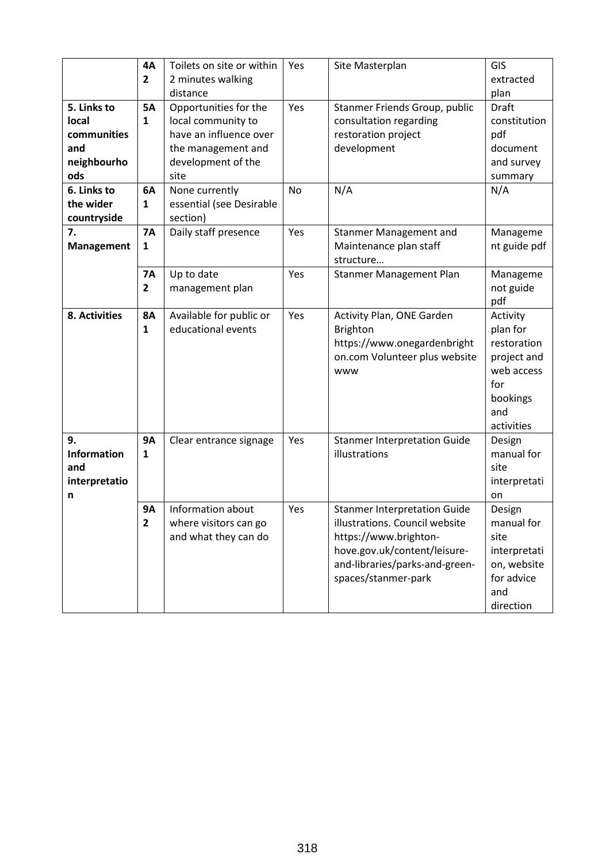|                    | <b>4A</b>      | Toilets on site or within | Yes       | Site Masterplan                     | GIS          |
|--------------------|----------------|---------------------------|-----------|-------------------------------------|--------------|
|                    | $\overline{2}$ | 2 minutes walking         |           |                                     | extracted    |
|                    |                | distance                  |           |                                     | plan         |
| 5. Links to        | <b>5A</b>      | Opportunities for the     | Yes       | Stanmer Friends Group, public       | <b>Draft</b> |
| local              | 1              | local community to        |           | consultation regarding              | constitution |
| communities        |                | have an influence over    |           | restoration project                 | pdf          |
| and                |                | the management and        |           | development                         | document     |
| neighbourho        |                | development of the        |           |                                     | and survey   |
| ods                |                | site                      |           |                                     | summary      |
| 6. Links to        | 6A             | None currently            | <b>No</b> | N/A                                 | N/A          |
| the wider          | $\mathbf{1}$   | essential (see Desirable  |           |                                     |              |
| countryside        |                | section)                  |           |                                     |              |
| 7.                 | <b>7A</b>      | Daily staff presence      | Yes       | Stanmer Management and              | Manageme     |
| <b>Management</b>  | 1              |                           |           | Maintenance plan staff<br>structure | nt guide pdf |
|                    | <b>7A</b>      | Up to date                | Yes       | Stanmer Management Plan             | Manageme     |
|                    | $\overline{2}$ | management plan           |           |                                     | not guide    |
|                    |                |                           |           |                                     | pdf          |
| 8. Activities      | <b>8A</b>      | Available for public or   | Yes       | Activity Plan, ONE Garden           | Activity     |
|                    | $\mathbf{1}$   | educational events        |           | <b>Brighton</b>                     | plan for     |
|                    |                |                           |           | https://www.onegardenbright         | restoration  |
|                    |                |                           |           | on.com Volunteer plus website       | project and  |
|                    |                |                           |           | www                                 | web access   |
|                    |                |                           |           |                                     | for          |
|                    |                |                           |           |                                     | bookings     |
|                    |                |                           |           |                                     | and          |
|                    |                |                           |           |                                     | activities   |
| 9.                 | <b>9A</b>      | Clear entrance signage    | Yes       | <b>Stanmer Interpretation Guide</b> | Design       |
| <b>Information</b> | $\mathbf{1}$   |                           |           | illustrations                       | manual for   |
| and                |                |                           |           |                                     | site         |
| interpretatio      |                |                           |           |                                     | interpretati |
| n                  |                |                           |           |                                     | on           |
|                    | <b>9A</b>      | Information about         | Yes       | <b>Stanmer Interpretation Guide</b> | Design       |
|                    | $\overline{2}$ | where visitors can go     |           | illustrations. Council website      | manual for   |
|                    |                | and what they can do      |           | https://www.brighton-               | site         |
|                    |                |                           |           | hove.gov.uk/content/leisure-        | interpretati |
|                    |                |                           |           | and-libraries/parks-and-green-      | on, website  |
|                    |                |                           |           | spaces/stanmer-park                 | for advice   |
|                    |                |                           |           |                                     | and          |
|                    |                |                           |           |                                     | direction    |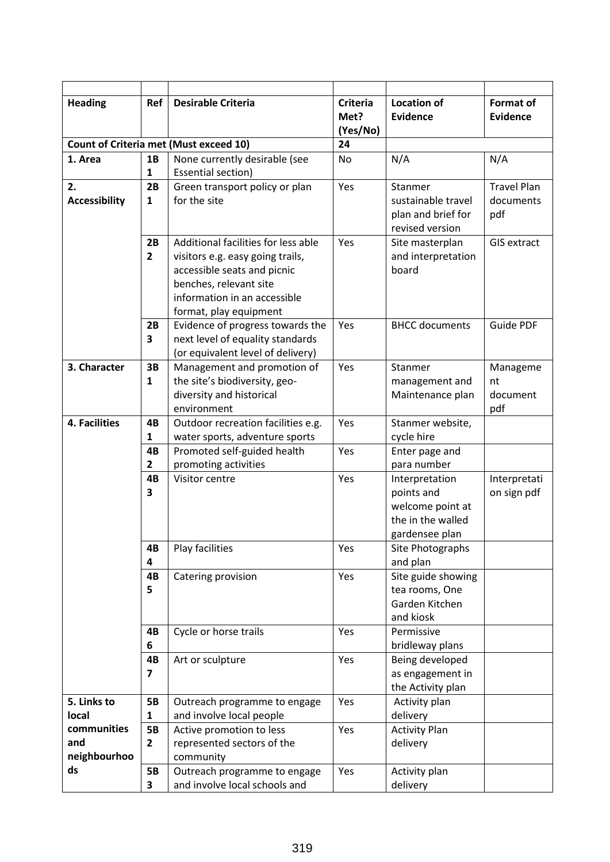| <b>Heading</b>                                | Ref                       | <b>Desirable Criteria</b>                                                                                                                                                                  | <b>Criteria</b><br>Met?<br>(Yes/No) | <b>Location of</b><br><b>Evidence</b>                                                   | <b>Format of</b><br><b>Evidence</b>    |
|-----------------------------------------------|---------------------------|--------------------------------------------------------------------------------------------------------------------------------------------------------------------------------------------|-------------------------------------|-----------------------------------------------------------------------------------------|----------------------------------------|
| <b>Count of Criteria met (Must exceed 10)</b> |                           |                                                                                                                                                                                            | 24                                  |                                                                                         |                                        |
| 1. Area                                       | 1B<br>$\mathbf{1}$        | None currently desirable (see<br>Essential section)                                                                                                                                        | <b>No</b>                           | N/A                                                                                     | N/A                                    |
| 2.<br><b>Accessibility</b>                    | 2B<br>$\mathbf{1}$        | Green transport policy or plan<br>for the site                                                                                                                                             | Yes                                 | Stanmer<br>sustainable travel<br>plan and brief for<br>revised version                  | <b>Travel Plan</b><br>documents<br>pdf |
|                                               | 2B<br>$\mathbf{2}$        | Additional facilities for less able<br>visitors e.g. easy going trails,<br>accessible seats and picnic<br>benches, relevant site<br>information in an accessible<br>format, play equipment | Yes                                 | Site masterplan<br>and interpretation<br>board                                          | <b>GIS extract</b>                     |
|                                               | 2B<br>3                   | Evidence of progress towards the<br>next level of equality standards<br>(or equivalent level of delivery)                                                                                  | Yes                                 | <b>BHCC</b> documents                                                                   | <b>Guide PDF</b>                       |
| 3. Character                                  | 3B<br>$\mathbf{1}$        | Management and promotion of<br>the site's biodiversity, geo-<br>diversity and historical<br>environment                                                                                    | Yes                                 | Stanmer<br>management and<br>Maintenance plan                                           | Manageme<br>nt<br>document<br>pdf      |
| 4. Facilities                                 | 4B<br>$\mathbf{1}$        | Outdoor recreation facilities e.g.<br>water sports, adventure sports                                                                                                                       | Yes                                 | Stanmer website,<br>cycle hire                                                          |                                        |
|                                               | 4B<br>$\mathbf{2}$        | Promoted self-guided health<br>promoting activities                                                                                                                                        | Yes                                 | Enter page and<br>para number                                                           |                                        |
|                                               | 4B<br>3                   | Visitor centre                                                                                                                                                                             | Yes                                 | Interpretation<br>points and<br>welcome point at<br>the in the walled<br>gardensee plan | Interpretati<br>on sign pdf            |
|                                               | 4B<br>4                   | Play facilities                                                                                                                                                                            | Yes                                 | Site Photographs<br>and plan                                                            |                                        |
|                                               | 4B<br>5                   | Catering provision                                                                                                                                                                         | Yes                                 | Site guide showing<br>tea rooms, One<br>Garden Kitchen<br>and kiosk                     |                                        |
|                                               | 4B<br>6                   | Cycle or horse trails                                                                                                                                                                      | Yes                                 | Permissive<br>bridleway plans                                                           |                                        |
|                                               | 4B<br>$\overline{7}$      | Art or sculpture                                                                                                                                                                           | Yes                                 | Being developed<br>as engagement in<br>the Activity plan                                |                                        |
| 5. Links to<br>local                          | <b>5B</b><br>1            | Outreach programme to engage<br>and involve local people                                                                                                                                   | Yes                                 | Activity plan<br>delivery                                                               |                                        |
| communities<br>and<br>neighbourhoo            | <b>5B</b><br>$\mathbf{2}$ | Active promotion to less<br>represented sectors of the<br>community                                                                                                                        | Yes                                 | <b>Activity Plan</b><br>delivery                                                        |                                        |
| ds                                            | <b>5B</b><br>3            | Outreach programme to engage<br>and involve local schools and                                                                                                                              | Yes                                 | Activity plan<br>delivery                                                               |                                        |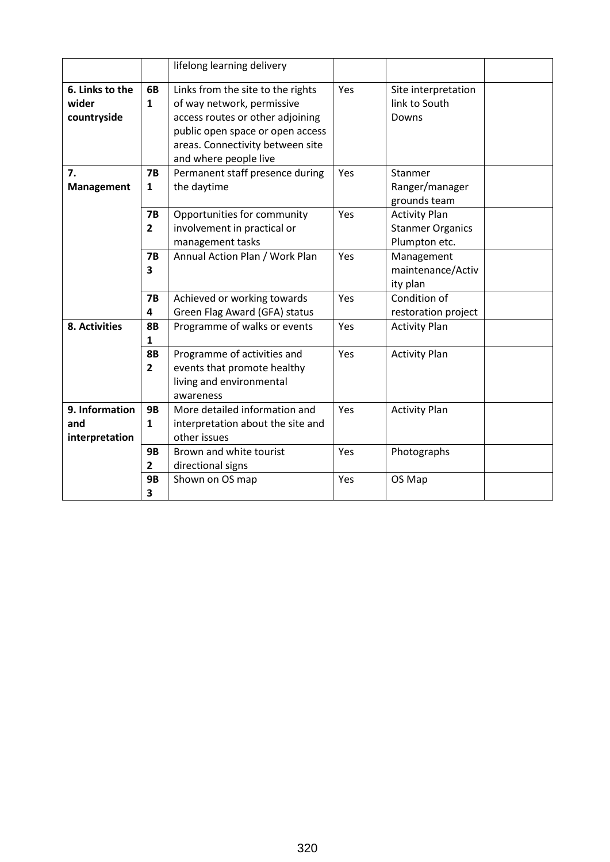|                                         |                             | lifelong learning delivery                                                                                                                                                                           |     |                                                                  |
|-----------------------------------------|-----------------------------|------------------------------------------------------------------------------------------------------------------------------------------------------------------------------------------------------|-----|------------------------------------------------------------------|
| 6. Links to the<br>wider<br>countryside | 6B<br>$\mathbf{1}$          | Links from the site to the rights<br>of way network, permissive<br>access routes or other adjoining<br>public open space or open access<br>areas. Connectivity between site<br>and where people live | Yes | Site interpretation<br>link to South<br>Downs                    |
| 7.<br>Management                        | <b>7B</b><br>1              | Permanent staff presence during<br>the daytime                                                                                                                                                       | Yes | Stanmer<br>Ranger/manager<br>grounds team                        |
|                                         | <b>7B</b><br>$\overline{2}$ | Opportunities for community<br>involvement in practical or<br>management tasks                                                                                                                       | Yes | <b>Activity Plan</b><br><b>Stanmer Organics</b><br>Plumpton etc. |
|                                         | <b>7B</b><br>3              | Annual Action Plan / Work Plan                                                                                                                                                                       | Yes | Management<br>maintenance/Activ<br>ity plan                      |
|                                         | <b>7B</b><br>4              | Achieved or working towards<br>Green Flag Award (GFA) status                                                                                                                                         | Yes | Condition of<br>restoration project                              |
| 8. Activities                           | <b>8B</b><br>1              | Programme of walks or events                                                                                                                                                                         | Yes | <b>Activity Plan</b>                                             |
|                                         | <b>8B</b><br>$\overline{2}$ | Programme of activities and<br>events that promote healthy<br>living and environmental<br>awareness                                                                                                  | Yes | <b>Activity Plan</b>                                             |
| 9. Information<br>and<br>interpretation | <b>9B</b><br>$\mathbf{1}$   | More detailed information and<br>interpretation about the site and<br>other issues                                                                                                                   | Yes | <b>Activity Plan</b>                                             |
|                                         | <b>9B</b><br>$\overline{2}$ | Brown and white tourist<br>directional signs                                                                                                                                                         | Yes | Photographs                                                      |
|                                         | <b>9B</b><br>3              | Shown on OS map                                                                                                                                                                                      | Yes | OS Map                                                           |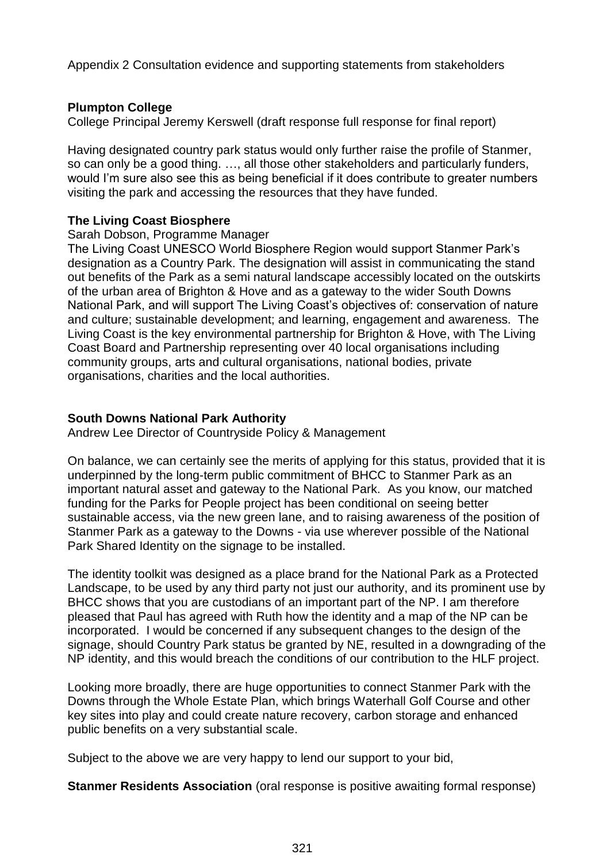Appendix 2 Consultation evidence and supporting statements from stakeholders

### **Plumpton College**

College Principal Jeremy Kerswell (draft response full response for final report)

Having designated country park status would only further raise the profile of Stanmer, so can only be a good thing. …, all those other stakeholders and particularly funders, would I'm sure also see this as being beneficial if it does contribute to greater numbers visiting the park and accessing the resources that they have funded.

### **The Living Coast Biosphere**

#### Sarah Dobson, Programme Manager

The Living Coast UNESCO World Biosphere Region would support Stanmer Park's designation as a Country Park. The designation will assist in communicating the stand out benefits of the Park as a semi natural landscape accessibly located on the outskirts of the urban area of Brighton & Hove and as a gateway to the wider South Downs National Park, and will support The Living Coast's objectives of: conservation of nature and culture; sustainable development; and learning, engagement and awareness. The Living Coast is the key environmental partnership for Brighton & Hove, with The Living Coast Board and Partnership representing over 40 local organisations including community groups, arts and cultural organisations, national bodies, private organisations, charities and the local authorities.

### **South Downs National Park Authority**

Andrew Lee Director of Countryside Policy & Management

On balance, we can certainly see the merits of applying for this status, provided that it is underpinned by the long-term public commitment of BHCC to Stanmer Park as an important natural asset and gateway to the National Park. As you know, our matched funding for the Parks for People project has been conditional on seeing better sustainable access, via the new green lane, and to raising awareness of the position of Stanmer Park as a gateway to the Downs - via use wherever possible of the National Park Shared Identity on the signage to be installed.

The identity toolkit was designed as a place brand for the National Park as a Protected Landscape, to be used by any third party not just our authority, and its prominent use by BHCC shows that you are custodians of an important part of the NP. I am therefore pleased that Paul has agreed with Ruth how the identity and a map of the NP can be incorporated. I would be concerned if any subsequent changes to the design of the signage, should Country Park status be granted by NE, resulted in a downgrading of the NP identity, and this would breach the conditions of our contribution to the HLF project.

Looking more broadly, there are huge opportunities to connect Stanmer Park with the Downs through the Whole Estate Plan, which brings Waterhall Golf Course and other key sites into play and could create nature recovery, carbon storage and enhanced public benefits on a very substantial scale.

Subject to the above we are very happy to lend our support to your bid,

**Stanmer Residents Association** (oral response is positive awaiting formal response)